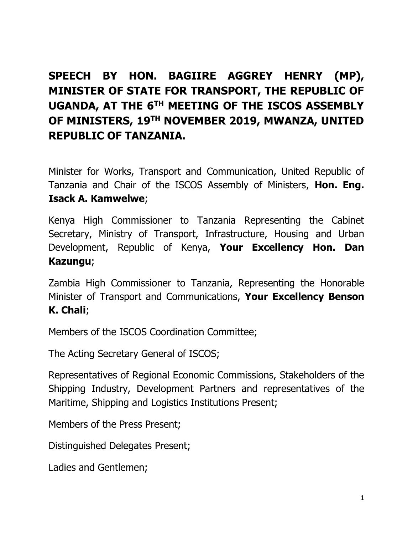## **SPEECH BY HON. BAGIIRE AGGREY HENRY (MP), MINISTER OF STATE FOR TRANSPORT, THE REPUBLIC OF UGANDA, AT THE 6TH MEETING OF THE ISCOS ASSEMBLY OF MINISTERS, 19TH NOVEMBER 2019, MWANZA, UNITED REPUBLIC OF TANZANIA.**

Minister for Works, Transport and Communication, United Republic of Tanzania and Chair of the ISCOS Assembly of Ministers, **Hon. Eng. Isack A. Kamwelwe**;

Kenya High Commissioner to Tanzania Representing the Cabinet Secretary, Ministry of Transport, Infrastructure, Housing and Urban Development, Republic of Kenya, **Your Excellency Hon. Dan Kazungu**;

Zambia High Commissioner to Tanzania, Representing the Honorable Minister of Transport and Communications, **Your Excellency Benson K. Chali**;

Members of the ISCOS Coordination Committee;

The Acting Secretary General of ISCOS;

Representatives of Regional Economic Commissions, Stakeholders of the Shipping Industry, Development Partners and representatives of the Maritime, Shipping and Logistics Institutions Present;

Members of the Press Present;

Distinguished Delegates Present;

Ladies and Gentlemen;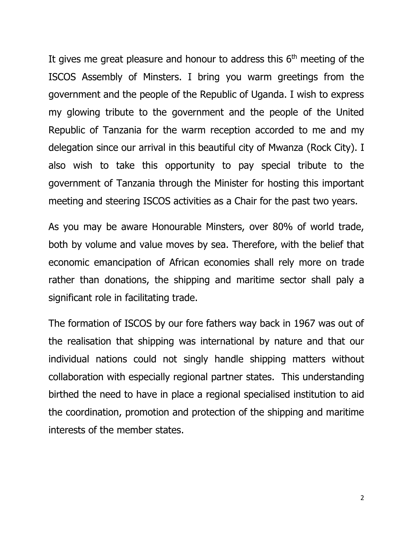It gives me great pleasure and honour to address this  $6<sup>th</sup>$  meeting of the ISCOS Assembly of Minsters. I bring you warm greetings from the government and the people of the Republic of Uganda. I wish to express my glowing tribute to the government and the people of the United Republic of Tanzania for the warm reception accorded to me and my delegation since our arrival in this beautiful city of Mwanza (Rock City). I also wish to take this opportunity to pay special tribute to the government of Tanzania through the Minister for hosting this important meeting and steering ISCOS activities as a Chair for the past two years.

As you may be aware Honourable Minsters, over 80% of world trade, both by volume and value moves by sea. Therefore, with the belief that economic emancipation of African economies shall rely more on trade rather than donations, the shipping and maritime sector shall paly a significant role in facilitating trade.

The formation of ISCOS by our fore fathers way back in 1967 was out of the realisation that shipping was international by nature and that our individual nations could not singly handle shipping matters without collaboration with especially regional partner states. This understanding birthed the need to have in place a regional specialised institution to aid the coordination, promotion and protection of the shipping and maritime interests of the member states.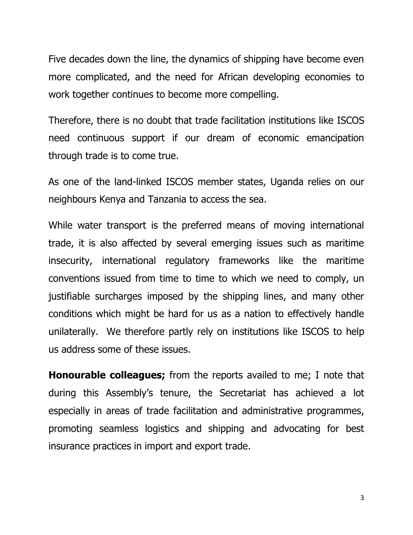Five decades down the line, the dynamics of shipping have become even more complicated, and the need for African developing economies to work together continues to become more compelling.

Therefore, there is no doubt that trade facilitation institutions like ISCOS need continuous support if our dream of economic emancipation through trade is to come true.

As one of the land-linked ISCOS member states, Uganda relies on our neighbours Kenya and Tanzania to access the sea.

While water transport is the preferred means of moving international trade, it is also affected by several emerging issues such as maritime insecurity, international regulatory frameworks like the maritime conventions issued from time to time to which we need to comply, un justifiable surcharges imposed by the shipping lines, and many other conditions which might be hard for us as a nation to effectively handle unilaterally. We therefore partly rely on institutions like ISCOS to help us address some of these issues.

**Honourable colleagues;** from the reports availed to me; I note that during this Assembly's tenure, the Secretariat has achieved a lot especially in areas of trade facilitation and administrative programmes, promoting seamless logistics and shipping and advocating for best insurance practices in import and export trade.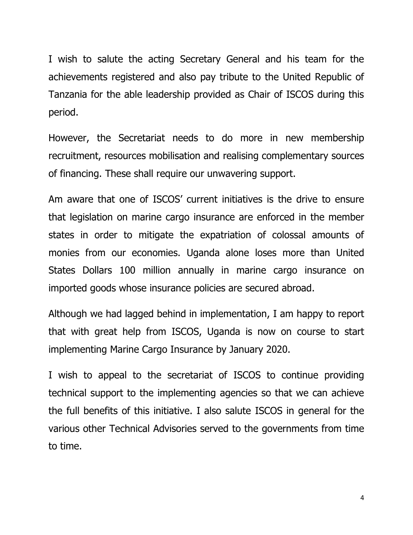I wish to salute the acting Secretary General and his team for the achievements registered and also pay tribute to the United Republic of Tanzania for the able leadership provided as Chair of ISCOS during this period.

However, the Secretariat needs to do more in new membership recruitment, resources mobilisation and realising complementary sources of financing. These shall require our unwavering support.

Am aware that one of ISCOS' current initiatives is the drive to ensure that legislation on marine cargo insurance are enforced in the member states in order to mitigate the expatriation of colossal amounts of monies from our economies. Uganda alone loses more than United States Dollars 100 million annually in marine cargo insurance on imported goods whose insurance policies are secured abroad.

Although we had lagged behind in implementation, I am happy to report that with great help from ISCOS, Uganda is now on course to start implementing Marine Cargo Insurance by January 2020.

I wish to appeal to the secretariat of ISCOS to continue providing technical support to the implementing agencies so that we can achieve the full benefits of this initiative. I also salute ISCOS in general for the various other Technical Advisories served to the governments from time to time.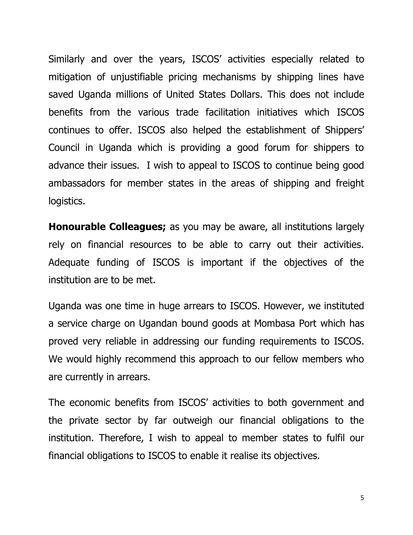Similarly and over the years, ISCOS' activities especially related to mitigation of unjustifiable pricing mechanisms by shipping lines have saved Uganda millions of United States Dollars. This does not include benefits from the various trade facilitation initiatives which ISCOS continues to offer. ISCOS also helped the establishment of Shippers' Council in Uganda which is providing a good forum for shippers to advance their issues. I wish to appeal to ISCOS to continue being good ambassadors for member states in the areas of shipping and freight logistics.

**Honourable Colleagues;** as you may be aware, all institutions largely rely on financial resources to be able to carry out their activities. Adequate funding of ISCOS is important if the objectives of the institution are to be met.

Uganda was one time in huge arrears to ISCOS. However, we instituted a service charge on Ugandan bound goods at Mombasa Port which has proved very reliable in addressing our funding requirements to ISCOS. We would highly recommend this approach to our fellow members who are currently in arrears.

The economic benefits from ISCOS' activities to both government and the private sector by far outweigh our financial obligations to the institution. Therefore, I wish to appeal to member states to fulfil our financial obligations to ISCOS to enable it realise its objectives.

5